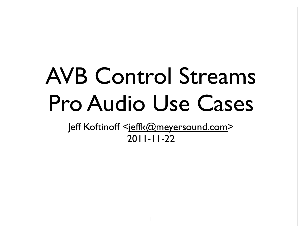## AVB Control Streams Pro Audio Use Cases

Jeff Koftinoff <jeffk@meyersound.com> 2011-11-22

1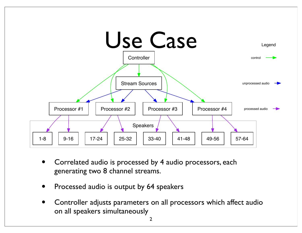

- Correlated audio is processed by 4 audio processors, each generating two 8 channel streams.
- Processed audio is output by 64 speakers
- Controller adjusts parameters on all processors which affect audio on all speakers simultaneously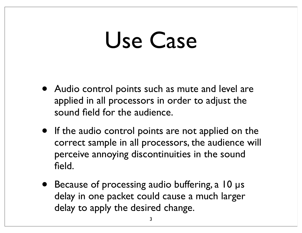#### Use Case

- Audio control points such as mute and level are applied in all processors in order to adjust the sound field for the audience.
- If the audio control points are not applied on the correct sample in all processors, the audience will perceive annoying discontinuities in the sound field.
- Because of processing audio buffering, a 10 µs delay in one packet could cause a much larger delay to apply the desired change.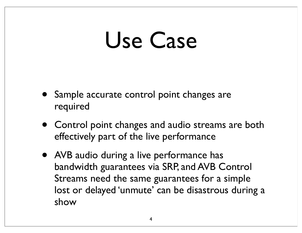#### Use Case

- Sample accurate control point changes are required
- Control point changes and audio streams are both effectively part of the live performance
- AVB audio during a live performance has bandwidth guarantees via SRP, and AVB Control Streams need the same guarantees for a simple lost or delayed 'unmute' can be disastrous during a show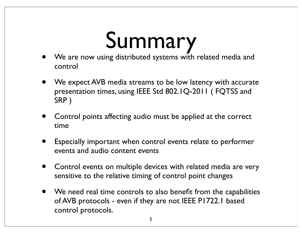## Summary

- We are now using distributed systems with related media and control
- We expect AVB media streams to be low latency with accurate presentation times, using IEEE Std 802.1Q-2011 ( FQTSS and SRP )
- Control points affecting audio must be applied at the correct time
- Especially important when control events relate to performer events and audio content events
- Control events on multiple devices with related media are very sensitive to the relative timing of control point changes
- We need real time controls to also benefit from the capabilities of AVB protocols - even if they are not IEEE P1722.1 based control protocols.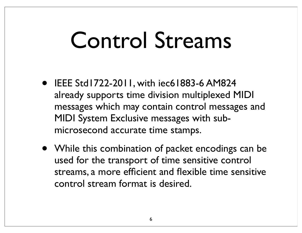### Control Streams

- IEEE Std1722-2011, with iec61883-6 AM824 already supports time division multiplexed MIDI messages which may contain control messages and MIDI System Exclusive messages with submicrosecond accurate time stamps.
- While this combination of packet encodings can be used for the transport of time sensitive control streams, a more efficient and flexible time sensitive control stream format is desired.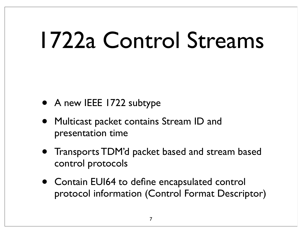### 1722a Control Streams

- A new IEEE 1722 subtype
- Multicast packet contains Stream ID and presentation time
- Transports TDM'd packet based and stream based control protocols
- Contain EUI64 to define encapsulated control protocol information (Control Format Descriptor)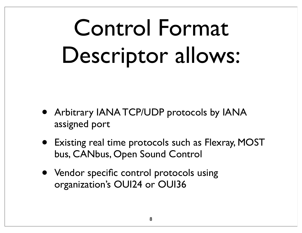## Control Format Descriptor allows:

- Arbitrary IANA TCP/UDP protocols by IANA assigned port
- Existing real time protocols such as Flexray, MOST bus, CANbus, Open Sound Control
- Vendor specific control protocols using organization's OUI24 or OUI36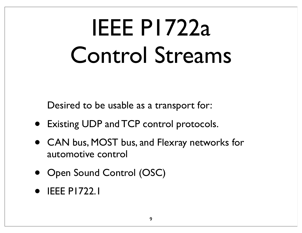## IEEE P1722a Control Streams

Desired to be usable as a transport for:

- Existing UDP and TCP control protocols.
- CAN bus, MOST bus, and Flexray networks for automotive control
- Open Sound Control (OSC)
- IEEE P1722.1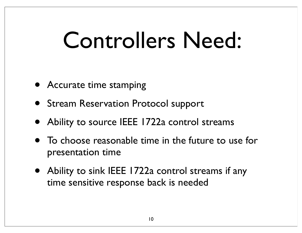### Controllers Need:

- **Accurate time stamping**
- Stream Reservation Protocol support
- Ability to source IEEE 1722a control streams
- To choose reasonable time in the future to use for presentation time
- Ability to sink IEEE 1722a control streams if any time sensitive response back is needed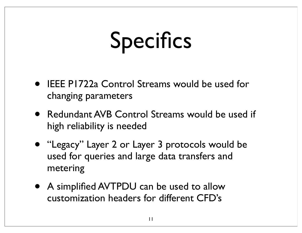## Specifics

- IEEE P1722a Control Streams would be used for changing parameters
- Redundant AVB Control Streams would be used if high reliability is needed
- "Legacy" Layer 2 or Layer 3 protocols would be used for queries and large data transfers and metering
- A simplified AVTPDU can be used to allow customization headers for different CFD's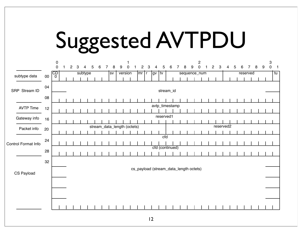## Suggested AVTPDU

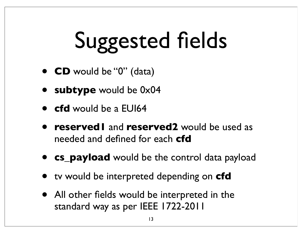# Suggested fields

- **CD** would be "0" (data)
- **subtype** would be 0x04
- **cfd** would be a EUI64
- **reserved1** and **reserved2** would be used as needed and defined for each **cfd**
- **cs\_payload** would be the control data payload
- tv would be interpreted depending on **cfd**
- All other fields would be interpreted in the standard way as per IEEE 1722-2011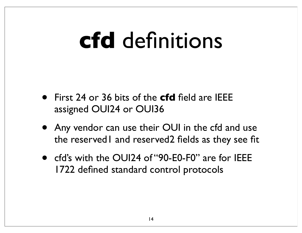### **cfd** definitions

- First 24 or 36 bits of the **cfd** field are IEEE assigned OUI24 or OUI36
- Any vendor can use their OUI in the cfd and use the reserved1 and reserved2 fields as they see fit
- cfd's with the OUI24 of "90-E0-F0" are for IEEE 1722 defined standard control protocols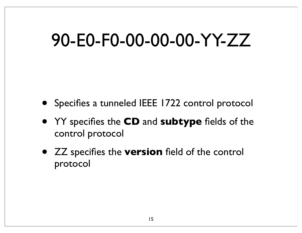#### 90-E0-F0-00-00-00-YY-ZZ

- Specifies a tunneled IEEE 1722 control protocol
- YY specifies the **CD** and **subtype** fields of the control protocol
- ZZ specifies the **version** field of the control protocol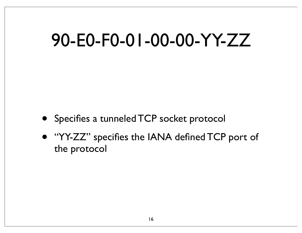#### 90-E0-F0-01-00-00-YY-ZZ

- Specifies a tunneled TCP socket protocol
- "YY-ZZ" specifies the IANA defined TCP port of the protocol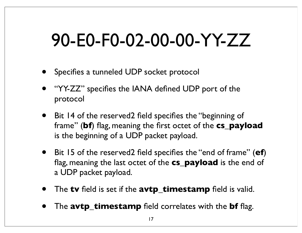#### 90-E0-F0-02-00-00-YY-ZZ

- Specifies a tunneled UDP socket protocol
- "YY-ZZ" specifies the IANA defined UDP port of the protocol
- Bit 14 of the reserved2 field specifies the "beginning of frame" (**bf**) flag, meaning the first octet of the **cs\_payload** is the beginning of a UDP packet payload.
- Bit 15 of the reserved2 field specifies the "end of frame" (**ef**) flag, meaning the last octet of the **cs\_payload** is the end of a UDP packet payload.
- The **tv** field is set if the **avtp\_timestamp** field is valid.
- The **avtp\_timestamp** field correlates with the **bf** flag.